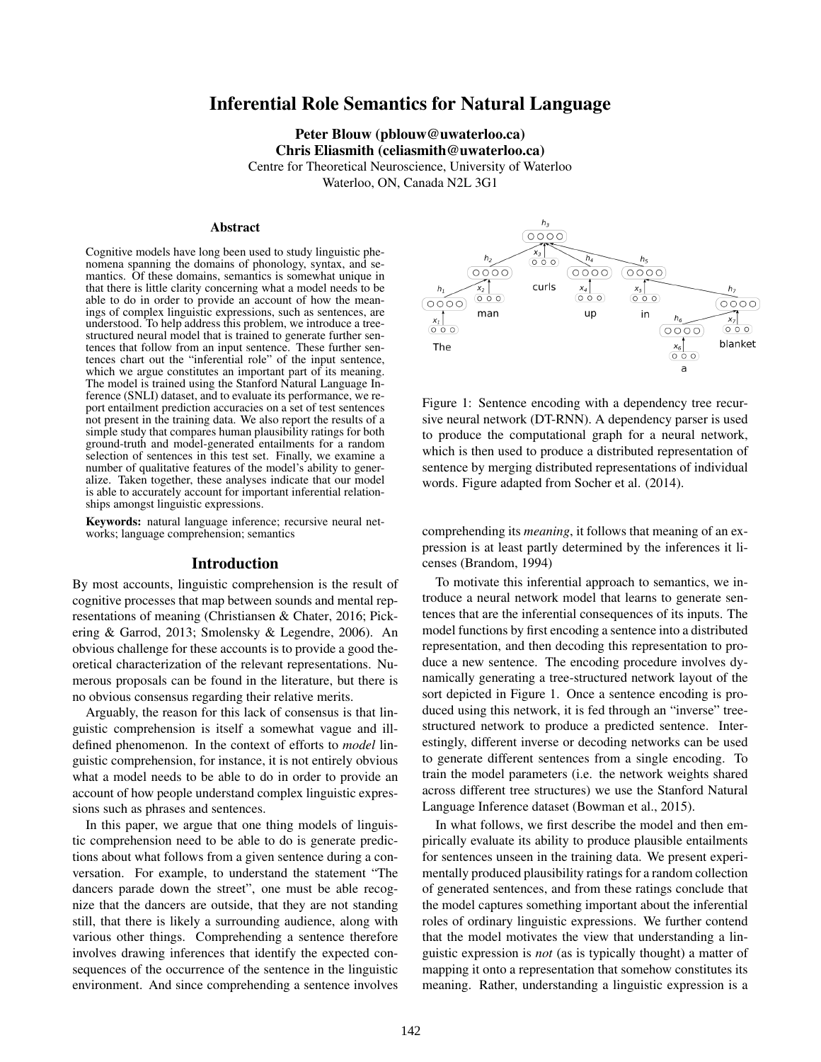# Inferential Role Semantics for Natural Language

Peter Blouw (pblouw@uwaterloo.ca) Chris Eliasmith (celiasmith@uwaterloo.ca) Centre for Theoretical Neuroscience, University of Waterloo Waterloo, ON, Canada N2L 3G1

#### Abstract

Cognitive models have long been used to study linguistic phenomena spanning the domains of phonology, syntax, and semantics. Of these domains, semantics is somewhat unique in that there is little clarity concerning what a model needs to be able to do in order to provide an account of how the meanings of complex linguistic expressions, such as sentences, are understood. To help address this problem, we introduce a treestructured neural model that is trained to generate further sentences that follow from an input sentence. These further sentences chart out the "inferential role" of the input sentence, which we argue constitutes an important part of its meaning. The model is trained using the Stanford Natural Language Inference (SNLI) dataset, and to evaluate its performance, we report entailment prediction accuracies on a set of test sentences not present in the training data. We also report the results of a simple study that compares human plausibility ratings for both ground-truth and model-generated entailments for a random selection of sentences in this test set. Finally, we examine a number of qualitative features of the model's ability to generalize. Taken together, these analyses indicate that our model is able to accurately account for important inferential relationships amongst linguistic expressions.

Keywords: natural language inference; recursive neural networks; language comprehension; semantics

#### Introduction

By most accounts, linguistic comprehension is the result of cognitive processes that map between sounds and mental representations of meaning (Christiansen & Chater, 2016; Pickering & Garrod, 2013; Smolensky & Legendre, 2006). An obvious challenge for these accounts is to provide a good theoretical characterization of the relevant representations. Numerous proposals can be found in the literature, but there is no obvious consensus regarding their relative merits.

Arguably, the reason for this lack of consensus is that linguistic comprehension is itself a somewhat vague and illdefined phenomenon. In the context of efforts to *model* linguistic comprehension, for instance, it is not entirely obvious what a model needs to be able to do in order to provide an account of how people understand complex linguistic expressions such as phrases and sentences.

In this paper, we argue that one thing models of linguistic comprehension need to be able to do is generate predictions about what follows from a given sentence during a conversation. For example, to understand the statement "The dancers parade down the street", one must be able recognize that the dancers are outside, that they are not standing still, that there is likely a surrounding audience, along with various other things. Comprehending a sentence therefore involves drawing inferences that identify the expected consequences of the occurrence of the sentence in the linguistic environment. And since comprehending a sentence involves



Figure 1: Sentence encoding with a dependency tree recursive neural network (DT-RNN). A dependency parser is used to produce the computational graph for a neural network, which is then used to produce a distributed representation of sentence by merging distributed representations of individual words. Figure adapted from Socher et al. (2014).

comprehending its *meaning*, it follows that meaning of an expression is at least partly determined by the inferences it licenses (Brandom, 1994)

To motivate this inferential approach to semantics, we introduce a neural network model that learns to generate sentences that are the inferential consequences of its inputs. The model functions by first encoding a sentence into a distributed representation, and then decoding this representation to produce a new sentence. The encoding procedure involves dynamically generating a tree-structured network layout of the sort depicted in Figure 1. Once a sentence encoding is produced using this network, it is fed through an "inverse" treestructured network to produce a predicted sentence. Interestingly, different inverse or decoding networks can be used to generate different sentences from a single encoding. To train the model parameters (i.e. the network weights shared across different tree structures) we use the Stanford Natural Language Inference dataset (Bowman et al., 2015).

In what follows, we first describe the model and then empirically evaluate its ability to produce plausible entailments for sentences unseen in the training data. We present experimentally produced plausibility ratings for a random collection of generated sentences, and from these ratings conclude that the model captures something important about the inferential roles of ordinary linguistic expressions. We further contend that the model motivates the view that understanding a linguistic expression is *not* (as is typically thought) a matter of mapping it onto a representation that somehow constitutes its meaning. Rather, understanding a linguistic expression is a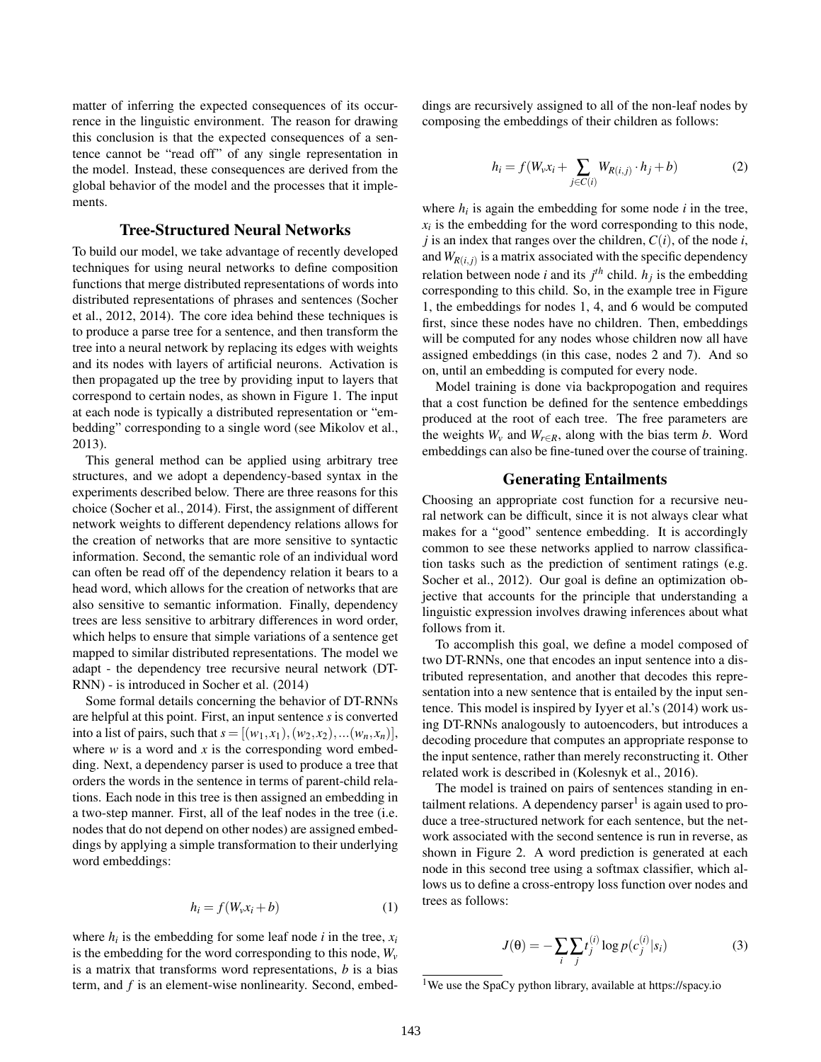matter of inferring the expected consequences of its occurrence in the linguistic environment. The reason for drawing this conclusion is that the expected consequences of a sentence cannot be "read off" of any single representation in the model. Instead, these consequences are derived from the global behavior of the model and the processes that it implements.

#### Tree-Structured Neural Networks

To build our model, we take advantage of recently developed techniques for using neural networks to define composition functions that merge distributed representations of words into distributed representations of phrases and sentences (Socher et al., 2012, 2014). The core idea behind these techniques is to produce a parse tree for a sentence, and then transform the tree into a neural network by replacing its edges with weights and its nodes with layers of artificial neurons. Activation is then propagated up the tree by providing input to layers that correspond to certain nodes, as shown in Figure 1. The input at each node is typically a distributed representation or "embedding" corresponding to a single word (see Mikolov et al., 2013).

This general method can be applied using arbitrary tree structures, and we adopt a dependency-based syntax in the experiments described below. There are three reasons for this choice (Socher et al., 2014). First, the assignment of different network weights to different dependency relations allows for the creation of networks that are more sensitive to syntactic information. Second, the semantic role of an individual word can often be read off of the dependency relation it bears to a head word, which allows for the creation of networks that are also sensitive to semantic information. Finally, dependency trees are less sensitive to arbitrary differences in word order, which helps to ensure that simple variations of a sentence get mapped to similar distributed representations. The model we adapt - the dependency tree recursive neural network (DT-RNN) - is introduced in Socher et al. (2014)

Some formal details concerning the behavior of DT-RNNs are helpful at this point. First, an input sentence *s* is converted into a list of pairs, such that  $s = [(w_1, x_1), (w_2, x_2), ... (w_n, x_n)],$ where *w* is a word and *x* is the corresponding word embedding. Next, a dependency parser is used to produce a tree that orders the words in the sentence in terms of parent-child relations. Each node in this tree is then assigned an embedding in a two-step manner. First, all of the leaf nodes in the tree (i.e. nodes that do not depend on other nodes) are assigned embeddings by applying a simple transformation to their underlying word embeddings:

$$
h_i = f(W_v x_i + b)
$$
 (1)

where  $h_i$  is the embedding for some leaf node *i* in the tree,  $x_i$ is the embedding for the word corresponding to this node,  $W_\nu$ is a matrix that transforms word representations, *b* is a bias term, and *f* is an element-wise nonlinearity. Second, embeddings are recursively assigned to all of the non-leaf nodes by composing the embeddings of their children as follows:

$$
h_i = f(W_v x_i + \sum_{j \in C(i)} W_{R(i,j)} \cdot h_j + b)
$$
 (2)

where  $h_i$  is again the embedding for some node  $i$  in the tree,  $x_i$  is the embedding for the word corresponding to this node, *j* is an index that ranges over the children,  $C(i)$ , of the node *i*, and  $W_{R(i,j)}$  is a matrix associated with the specific dependency relation between node *i* and its  $j<sup>th</sup>$  child.  $h_j$  is the embedding corresponding to this child. So, in the example tree in Figure 1, the embeddings for nodes 1, 4, and 6 would be computed first, since these nodes have no children. Then, embeddings will be computed for any nodes whose children now all have assigned embeddings (in this case, nodes 2 and 7). And so on, until an embedding is computed for every node.

Model training is done via backpropogation and requires that a cost function be defined for the sentence embeddings produced at the root of each tree. The free parameters are the weights  $W_v$  and  $W_{r \in R}$ , along with the bias term *b*. Word embeddings can also be fine-tuned over the course of training.

#### Generating Entailments

Choosing an appropriate cost function for a recursive neural network can be difficult, since it is not always clear what makes for a "good" sentence embedding. It is accordingly common to see these networks applied to narrow classification tasks such as the prediction of sentiment ratings (e.g. Socher et al., 2012). Our goal is define an optimization objective that accounts for the principle that understanding a linguistic expression involves drawing inferences about what follows from it.

To accomplish this goal, we define a model composed of two DT-RNNs, one that encodes an input sentence into a distributed representation, and another that decodes this representation into a new sentence that is entailed by the input sentence. This model is inspired by Iyyer et al.'s (2014) work using DT-RNNs analogously to autoencoders, but introduces a decoding procedure that computes an appropriate response to the input sentence, rather than merely reconstructing it. Other related work is described in (Kolesnyk et al., 2016).

The model is trained on pairs of sentences standing in entailment relations. A dependency parser<sup>1</sup> is again used to produce a tree-structured network for each sentence, but the network associated with the second sentence is run in reverse, as shown in Figure 2. A word prediction is generated at each node in this second tree using a softmax classifier, which allows us to define a cross-entropy loss function over nodes and trees as follows:

$$
J(\theta) = -\sum_{i} \sum_{j} t_j^{(i)} \log p(c_j^{(i)} | s_i)
$$
 (3)

<sup>&</sup>lt;sup>1</sup>We use the SpaCy python library, available at https://spacy.io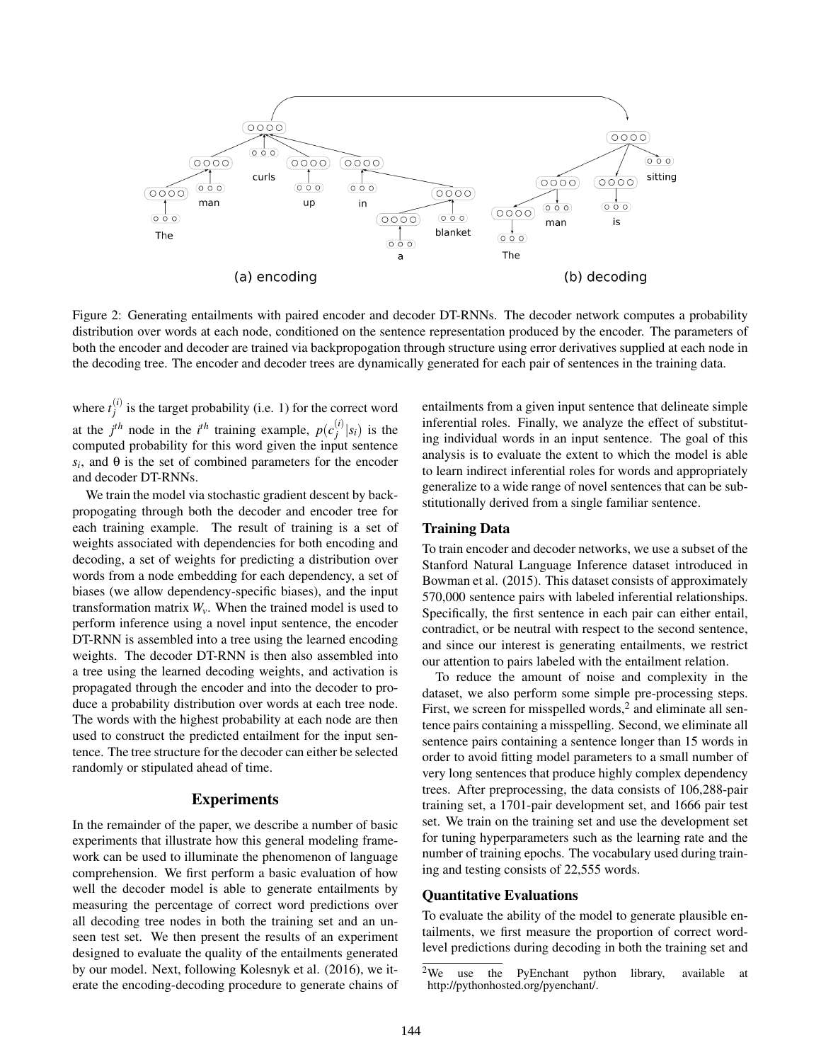

Figure 2: Generating entailments with paired encoder and decoder DT-RNNs. The decoder network computes a probability distribution over words at each node, conditioned on the sentence representation produced by the encoder. The parameters of both the encoder and decoder are trained via backpropogation through structure using error derivatives supplied at each node in the decoding tree. The encoder and decoder trees are dynamically generated for each pair of sentences in the training data.

where  $t_i^{(i)}$  $j_j^{(t)}$  is the target probability (i.e. 1) for the correct word at the  $j<sup>th</sup>$  node in the  $i<sup>th</sup>$  training example,  $p(c_i^{(i)})$  $\int_{i}^{(t)} |s_i|$  is the computed probability for this word given the input sentence  $s_i$ , and  $\theta$  is the set of combined parameters for the encoder and decoder DT-RNNs.

We train the model via stochastic gradient descent by backpropogating through both the decoder and encoder tree for each training example. The result of training is a set of weights associated with dependencies for both encoding and decoding, a set of weights for predicting a distribution over words from a node embedding for each dependency, a set of biases (we allow dependency-specific biases), and the input transformation matrix  $W_v$ . When the trained model is used to perform inference using a novel input sentence, the encoder DT-RNN is assembled into a tree using the learned encoding weights. The decoder DT-RNN is then also assembled into a tree using the learned decoding weights, and activation is propagated through the encoder and into the decoder to produce a probability distribution over words at each tree node. The words with the highest probability at each node are then used to construct the predicted entailment for the input sentence. The tree structure for the decoder can either be selected randomly or stipulated ahead of time.

### **Experiments**

In the remainder of the paper, we describe a number of basic experiments that illustrate how this general modeling framework can be used to illuminate the phenomenon of language comprehension. We first perform a basic evaluation of how well the decoder model is able to generate entailments by measuring the percentage of correct word predictions over all decoding tree nodes in both the training set and an unseen test set. We then present the results of an experiment designed to evaluate the quality of the entailments generated by our model. Next, following Kolesnyk et al. (2016), we iterate the encoding-decoding procedure to generate chains of entailments from a given input sentence that delineate simple inferential roles. Finally, we analyze the effect of substituting individual words in an input sentence. The goal of this analysis is to evaluate the extent to which the model is able to learn indirect inferential roles for words and appropriately generalize to a wide range of novel sentences that can be substitutionally derived from a single familiar sentence.

#### Training Data

To train encoder and decoder networks, we use a subset of the Stanford Natural Language Inference dataset introduced in Bowman et al. (2015). This dataset consists of approximately 570,000 sentence pairs with labeled inferential relationships. Specifically, the first sentence in each pair can either entail, contradict, or be neutral with respect to the second sentence, and since our interest is generating entailments, we restrict our attention to pairs labeled with the entailment relation.

To reduce the amount of noise and complexity in the dataset, we also perform some simple pre-processing steps. First, we screen for misspelled words, $2$  and eliminate all sentence pairs containing a misspelling. Second, we eliminate all sentence pairs containing a sentence longer than 15 words in order to avoid fitting model parameters to a small number of very long sentences that produce highly complex dependency trees. After preprocessing, the data consists of 106,288-pair training set, a 1701-pair development set, and 1666 pair test set. We train on the training set and use the development set for tuning hyperparameters such as the learning rate and the number of training epochs. The vocabulary used during training and testing consists of 22,555 words.

#### Quantitative Evaluations

To evaluate the ability of the model to generate plausible entailments, we first measure the proportion of correct wordlevel predictions during decoding in both the training set and

<sup>&</sup>lt;sup>2</sup>We use the PyEnchant python library, available at http://pythonhosted.org/pyenchant/.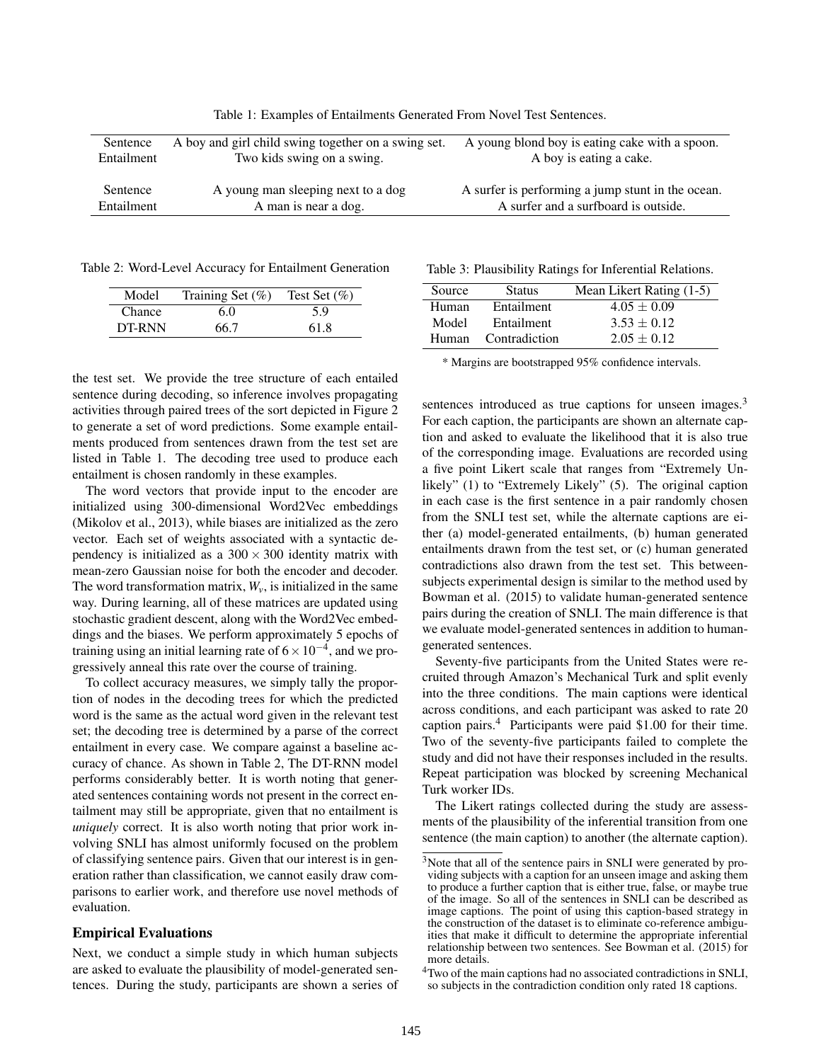| Sentence   | A boy and girl child swing together on a swing set. | A young blond boy is eating cake with a spoon.    |
|------------|-----------------------------------------------------|---------------------------------------------------|
| Entailment | Two kids swing on a swing.                          | A boy is eating a cake.                           |
| Sentence   | A young man sleeping next to a dog                  | A surfer is performing a jump stunt in the ocean. |
| Entailment | A man is near a dog.                                | A surfer and a surfboard is outside.              |

Table 1: Examples of Entailments Generated From Novel Test Sentences.

Table 2: Word-Level Accuracy for Entailment Generation

| Model         | Training Set $(\%)$ | Test Set $(\% )$ |
|---------------|---------------------|------------------|
| <b>Chance</b> | 6.0                 | 5.9              |
| DT-RNN        | 66.7                | 61.8             |

the test set. We provide the tree structure of each entailed sentence during decoding, so inference involves propagating activities through paired trees of the sort depicted in Figure 2 to generate a set of word predictions. Some example entailments produced from sentences drawn from the test set are listed in Table 1. The decoding tree used to produce each entailment is chosen randomly in these examples.

The word vectors that provide input to the encoder are initialized using 300-dimensional Word2Vec embeddings (Mikolov et al., 2013), while biases are initialized as the zero vector. Each set of weights associated with a syntactic dependency is initialized as a  $300 \times 300$  identity matrix with mean-zero Gaussian noise for both the encoder and decoder. The word transformation matrix,  $W_{\nu}$ , is initialized in the same way. During learning, all of these matrices are updated using stochastic gradient descent, along with the Word2Vec embeddings and the biases. We perform approximately 5 epochs of training using an initial learning rate of  $6 \times 10^{-4}$ , and we progressively anneal this rate over the course of training.

To collect accuracy measures, we simply tally the proportion of nodes in the decoding trees for which the predicted word is the same as the actual word given in the relevant test set; the decoding tree is determined by a parse of the correct entailment in every case. We compare against a baseline accuracy of chance. As shown in Table 2, The DT-RNN model performs considerably better. It is worth noting that generated sentences containing words not present in the correct entailment may still be appropriate, given that no entailment is *uniquely* correct. It is also worth noting that prior work involving SNLI has almost uniformly focused on the problem of classifying sentence pairs. Given that our interest is in generation rather than classification, we cannot easily draw comparisons to earlier work, and therefore use novel methods of evaluation.

#### Empirical Evaluations

Next, we conduct a simple study in which human subjects are asked to evaluate the plausibility of model-generated sentences. During the study, participants are shown a series of

|  |  |  | Table 3: Plausibility Ratings for Inferential Relations. |  |
|--|--|--|----------------------------------------------------------|--|
|--|--|--|----------------------------------------------------------|--|

| Source | <b>Status</b>       | Mean Likert Rating (1-5) |
|--------|---------------------|--------------------------|
| Human  | Entailment          | $4.05 \pm 0.09$          |
| Model  | Entailment          | $3.53 \pm 0.12$          |
|        | Human Contradiction | $2.05 \pm 0.12$          |

\* Margins are bootstrapped 95% confidence intervals.

sentences introduced as true captions for unseen images.<sup>3</sup> For each caption, the participants are shown an alternate caption and asked to evaluate the likelihood that it is also true of the corresponding image. Evaluations are recorded using a five point Likert scale that ranges from "Extremely Unlikely" (1) to "Extremely Likely" (5). The original caption in each case is the first sentence in a pair randomly chosen from the SNLI test set, while the alternate captions are either (a) model-generated entailments, (b) human generated entailments drawn from the test set, or (c) human generated contradictions also drawn from the test set. This betweensubjects experimental design is similar to the method used by Bowman et al. (2015) to validate human-generated sentence pairs during the creation of SNLI. The main difference is that we evaluate model-generated sentences in addition to humangenerated sentences.

Seventy-five participants from the United States were recruited through Amazon's Mechanical Turk and split evenly into the three conditions. The main captions were identical across conditions, and each participant was asked to rate 20 caption pairs.<sup>4</sup> Participants were paid \$1.00 for their time. Two of the seventy-five participants failed to complete the study and did not have their responses included in the results. Repeat participation was blocked by screening Mechanical Turk worker IDs.

The Likert ratings collected during the study are assessments of the plausibility of the inferential transition from one sentence (the main caption) to another (the alternate caption).

<sup>3</sup>Note that all of the sentence pairs in SNLI were generated by providing subjects with a caption for an unseen image and asking them to produce a further caption that is either true, false, or maybe true of the image. So all of the sentences in SNLI can be described as image captions. The point of using this caption-based strategy in the construction of the dataset is to eliminate co-reference ambiguities that make it difficult to determine the appropriate inferential relationship between two sentences. See Bowman et al. (2015) for more details.

<sup>4</sup>Two of the main captions had no associated contradictions in SNLI, so subjects in the contradiction condition only rated 18 captions.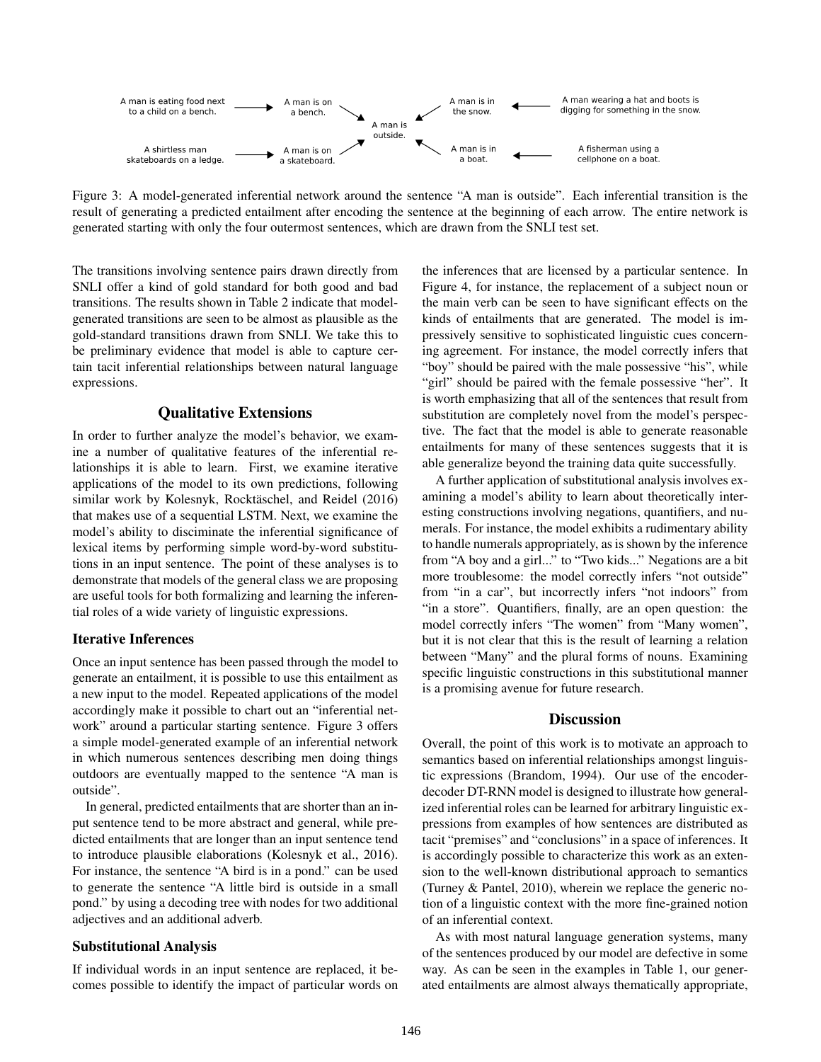

Figure 3: A model-generated inferential network around the sentence "A man is outside". Each inferential transition is the result of generating a predicted entailment after encoding the sentence at the beginning of each arrow. The entire network is generated starting with only the four outermost sentences, which are drawn from the SNLI test set.

The transitions involving sentence pairs drawn directly from SNLI offer a kind of gold standard for both good and bad transitions. The results shown in Table 2 indicate that modelgenerated transitions are seen to be almost as plausible as the gold-standard transitions drawn from SNLI. We take this to be preliminary evidence that model is able to capture certain tacit inferential relationships between natural language expressions.

## Qualitative Extensions

In order to further analyze the model's behavior, we examine a number of qualitative features of the inferential relationships it is able to learn. First, we examine iterative applications of the model to its own predictions, following similar work by Kolesnyk, Rocktäschel, and Reidel (2016) that makes use of a sequential LSTM. Next, we examine the model's ability to disciminate the inferential significance of lexical items by performing simple word-by-word substitutions in an input sentence. The point of these analyses is to demonstrate that models of the general class we are proposing are useful tools for both formalizing and learning the inferential roles of a wide variety of linguistic expressions.

### Iterative Inferences

Once an input sentence has been passed through the model to generate an entailment, it is possible to use this entailment as a new input to the model. Repeated applications of the model accordingly make it possible to chart out an "inferential network" around a particular starting sentence. Figure 3 offers a simple model-generated example of an inferential network in which numerous sentences describing men doing things outdoors are eventually mapped to the sentence "A man is outside".

In general, predicted entailments that are shorter than an input sentence tend to be more abstract and general, while predicted entailments that are longer than an input sentence tend to introduce plausible elaborations (Kolesnyk et al., 2016). For instance, the sentence "A bird is in a pond." can be used to generate the sentence "A little bird is outside in a small pond." by using a decoding tree with nodes for two additional adjectives and an additional adverb.

#### Substitutional Analysis

If individual words in an input sentence are replaced, it becomes possible to identify the impact of particular words on the inferences that are licensed by a particular sentence. In Figure 4, for instance, the replacement of a subject noun or the main verb can be seen to have significant effects on the kinds of entailments that are generated. The model is impressively sensitive to sophisticated linguistic cues concerning agreement. For instance, the model correctly infers that "boy" should be paired with the male possessive "his", while "girl" should be paired with the female possessive "her". It is worth emphasizing that all of the sentences that result from substitution are completely novel from the model's perspective. The fact that the model is able to generate reasonable entailments for many of these sentences suggests that it is able generalize beyond the training data quite successfully.

A further application of substitutional analysis involves examining a model's ability to learn about theoretically interesting constructions involving negations, quantifiers, and numerals. For instance, the model exhibits a rudimentary ability to handle numerals appropriately, as is shown by the inference from "A boy and a girl..." to "Two kids..." Negations are a bit more troublesome: the model correctly infers "not outside" from "in a car", but incorrectly infers "not indoors" from "in a store". Quantifiers, finally, are an open question: the model correctly infers "The women" from "Many women", but it is not clear that this is the result of learning a relation between "Many" and the plural forms of nouns. Examining specific linguistic constructions in this substitutional manner is a promising avenue for future research.

#### **Discussion**

Overall, the point of this work is to motivate an approach to semantics based on inferential relationships amongst linguistic expressions (Brandom, 1994). Our use of the encoderdecoder DT-RNN model is designed to illustrate how generalized inferential roles can be learned for arbitrary linguistic expressions from examples of how sentences are distributed as tacit "premises" and "conclusions" in a space of inferences. It is accordingly possible to characterize this work as an extension to the well-known distributional approach to semantics (Turney & Pantel, 2010), wherein we replace the generic notion of a linguistic context with the more fine-grained notion of an inferential context.

As with most natural language generation systems, many of the sentences produced by our model are defective in some way. As can be seen in the examples in Table 1, our generated entailments are almost always thematically appropriate,